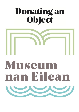# **Donating an<br>Object**



# Museum nan Eilean

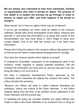**We are always very interested to hear from individuals, families or organisations who wish to donate an object. The purpose of this leaflet is to explain the process we go through in order to assess an object you offer, and what happens if we decide to accept it.**

# *What should I do if I have an object I think may be of interest?*

If you've got something you think could be added to the museum collection, please take some photographs of the object, measure and describe it, and bring that information to us along with copies of any documentation you may have about it. Don't forget to leave your contact details. One of our staff will contact you if we need more information.

Please don't bring the object to the museum without discussing it with us first as we will need to make special arrangements for storage.

## *How does the museum decide which objects to accept?*

A Collections Committee, composed of the professional staff of the museum, meets regularly to assess potential donations. We will consider the information you have sent us, and we may ask if you can bring the object in for us to look at.

We have a Collections Development Policy, approved by the Comhairle, which describes the objects the museum will collect. The policy includes this summary:

*"Museum nan Eilean will seek to collect material illustrating the prehistory, history and culture of the Outer Hebrides. It will collect material dating from the time of the earliest human settlement in the Outer Hebrides until the present day."*

In operating the policy we consider whether the object offered was made or used in the Outer Hebrides or by someone from or living on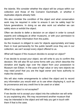the islands. We consider whether the object will be unique within our collection and those of the Comainn Eachdriadh, or whether it duplicates objects already held.

We also consider the condition of the object and what conservation work may be required in order to ensure it can be safely kept for future generations. In doing so we also work out whether we can safely store or exhibit the object.

Often we decide to defer a decision on an object in order to consult experts and colleagues at other museums, or with your permission to appeal for further information from the public.

As the museum is obliged to care for objects appropriately and keep them in trust permanently for the public benefit once they are in our collection, we can't accept every object offered to us.

### *What will happen if the museum decides to accept an object?*

If we decide to accept your object, we will write to you to confirm this decision. We will also fill out some forms with you which describe the donation and legally sign over the object from your possession to Museum nan Eilean. In the case of high value or very rare objects we may need proof that you are the legal owner and have authority to make the donation.

We will also make arrangements to collect the object and to record any information you would wish us to use when displaying it, such as its provenance and any credit line to be used on a label.

### *What if my object is not accepted?*

If we decide not to accept your object into the collection we will write to you explaining why. We may recommend another museum that may be interested in the object and will help you get in touch with them if that is the case.